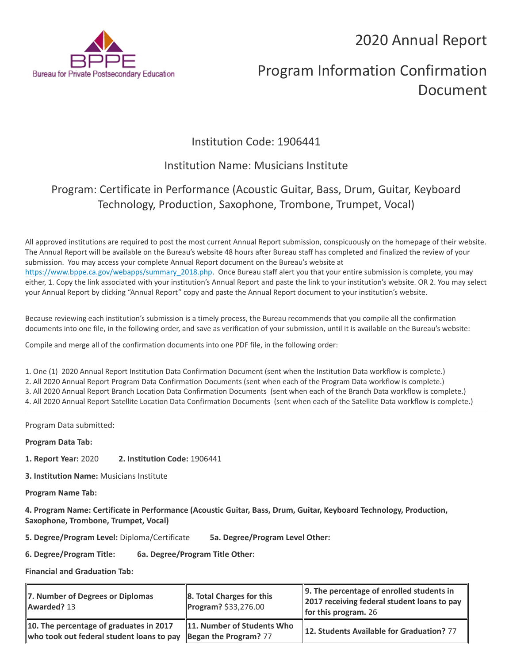2020 Annual Report



# Program Information Confirmation Document

# Institution Code: 1906441

# Institution Name: Musicians Institute

# Program: Certificate in Performance (Acoustic Guitar, Bass, Drum, Guitar, Keyboard Technology, Production, Saxophone, Trombone, Trumpet, Vocal)

All approved institutions are required to post the most current Annual Report submission, conspicuously on the homepage of their website. The Annual Report will be available on the Bureau's website 48 hours after Bureau staff has completed and finalized the review of your submission. You may access your complete Annual Report document on the Bureau's website at [https://www.bppe.ca.gov/webapps/summary\\_2018.php.](https://www.bppe.ca.gov/webapps/summary_2018.php) Once Bureau staff alert you that your entire submission is complete, you may either, 1. Copy the link associated with your institution's Annual Report and paste the link to your institution's website. OR 2. You may select your Annual Report by clicking "Annual Report" copy and paste the Annual Report document to your institution's website.

Because reviewing each institution's submission is a timely process, the Bureau recommends that you compile all the confirmation documents into one file, in the following order, and save as verification of your submission, until it is available on the Bureau's website:

Compile and merge all of the confirmation documents into one PDF file, in the following order:

1. One (1) 2020 Annual Report Institution Data Confirmation Document (sent when the Institution Data workflow is complete.) 2. All 2020 Annual Report Program Data Confirmation Documents (sent when each of the Program Data workflow is complete.) 3. All 2020 Annual Report Branch Location Data Confirmation Documents (sent when each of the Branch Data workflow is complete.) 4. All 2020 Annual Report Satellite Location Data Confirmation Documents (sent when each of the Satellite Data workflow is complete.)

Program Data submitted:

**Program Data Tab:**

**1. Report Year:** 2020 **2. Institution Code:** 1906441

**3. Institution Name:** Musicians Institute

**Program Name Tab:**

**4. Program Name: Certificate in Performance (Acoustic Guitar, Bass, Drum, Guitar, Keyboard Technology, Production, Saxophone, Trombone, Trumpet, Vocal)** 

**5. Degree/Program Level:** Diploma/Certificate **5a. Degree/Program Level Other:**

**6. Degree/Program Title: 6a. Degree/Program Title Other:**

**Financial and Graduation Tab:**

| 7. Number of Degrees or Diplomas<br>Awarded? 13                                                            | $\ 8.$ Total Charges for this<br>$\ $ Program? \$33,276.00 | $\parallel$ 9. The percentage of enrolled students in<br>2017 receiving federal student loans to pay<br>for this program. $26$ |
|------------------------------------------------------------------------------------------------------------|------------------------------------------------------------|--------------------------------------------------------------------------------------------------------------------------------|
| 10. The percentage of graduates in 2017<br>who took out federal student loans to pay Began the Program? 77 | 11. Number of Students Who                                 | 12. Students Available for Graduation? 77                                                                                      |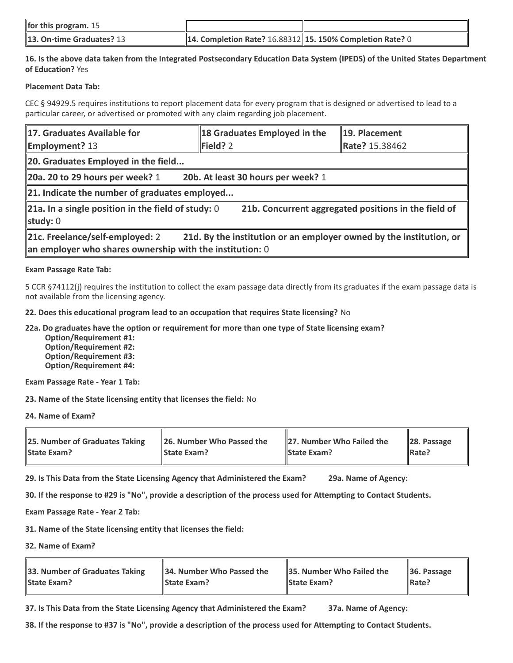| for this program. $15$           |                                                             |  |
|----------------------------------|-------------------------------------------------------------|--|
| <b>13. On-time Graduates? 13</b> | 14. Completion Rate? 16.88312   15. 150% Completion Rate? 0 |  |

## **16. Is the above data taken from the Integrated Postsecondary Education Data System (IPEDS) of the United States Department of Education?** Yes

## **Placement Data Tab:**

CEC § 94929.5 requires institutions to report placement data for every program that is designed or advertised to lead to a particular career, or advertised or promoted with any claim regarding job placement.

| 17. Graduates Available for                                                                                                                                                    | 18 Graduates Employed in the       | 19. Placement                                        |  |
|--------------------------------------------------------------------------------------------------------------------------------------------------------------------------------|------------------------------------|------------------------------------------------------|--|
| <b>Employment?</b> 13                                                                                                                                                          | Field? 2                           | Rate? 15.38462                                       |  |
| 20. Graduates Employed in the field                                                                                                                                            |                                    |                                                      |  |
| 20a. 20 to 29 hours per week? $1$                                                                                                                                              | 20b. At least 30 hours per week? 1 |                                                      |  |
| $\ $ 21. Indicate the number of graduates employed                                                                                                                             |                                    |                                                      |  |
| 21a. In a single position in the field of study: $0$<br>study: $0$                                                                                                             |                                    | 21b. Concurrent aggregated positions in the field of |  |
| 21c. Freelance/self-employed: 2<br>21d. By the institution or an employer owned by the institution, or<br>$\parallel$ an employer who shares ownership with the institution: 0 |                                    |                                                      |  |

#### **Exam Passage Rate Tab:**

5 CCR §74112(j) requires the institution to collect the exam passage data directly from its graduates if the exam passage data is not available from the licensing agency.

### **22. Does this educational program lead to an occupation that requires State licensing?** No

**22a. Do graduates have the option or requirement for more than one type of State licensing exam?**

 **Option/Requirement #1: Option/Requirement #2: Option/Requirement #3: Option/Requirement #4:**

**Exam Passage Rate - Year 1 Tab:**

**23. Name of the State licensing entity that licenses the field:** No

**24. Name of Exam?**

| 25. Number of Graduates Taking | 26. Number Who Passed the | 27. Number Who Failed the | $\ 28.$ Passage |
|--------------------------------|---------------------------|---------------------------|-----------------|
| <b>State Exam?</b>             | <b>State Exam?</b>        | <b>State Exam?</b>        | Rate?           |

**29. Is This Data from the State Licensing Agency that Administered the Exam? 29a. Name of Agency:**

**30. If the response to #29 is "No", provide a description of the process used for Attempting to Contact Students.**

**Exam Passage Rate - Year 2 Tab:**

**31. Name of the State licensing entity that licenses the field:**

**32. Name of Exam?**

| 33. Number of Graduates Taking | <b>34. Number Who Passed the</b> | 35. Number Who Failed the | $\parallel$ 36. Passage |
|--------------------------------|----------------------------------|---------------------------|-------------------------|
| <b>State Exam?</b>             | <b>IState Exam?</b>              | <b>State Exam?</b>        | $\parallel$ Rate?       |

**37. Is This Data from the State Licensing Agency that Administered the Exam? 37a. Name of Agency:**

**38. If the response to #37 is "No", provide a description of the process used for Attempting to Contact Students.**